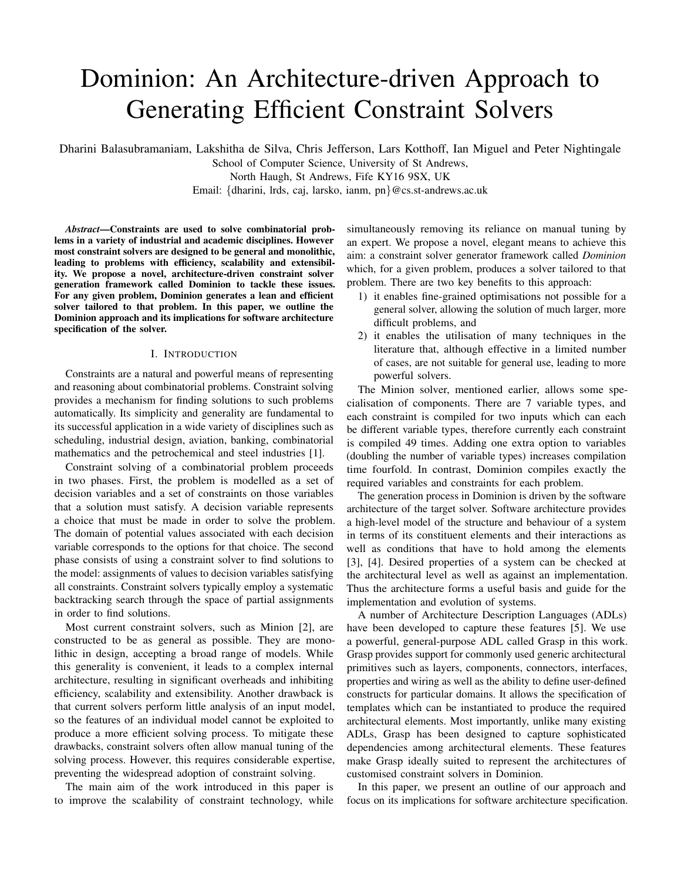# Dominion: An Architecture-driven Approach to Generating Efficient Constraint Solvers

Dharini Balasubramaniam, Lakshitha de Silva, Chris Jefferson, Lars Kotthoff, Ian Miguel and Peter Nightingale

School of Computer Science, University of St Andrews, North Haugh, St Andrews, Fife KY16 9SX, UK

Email: {dharini, lrds, caj, larsko, ianm, pn}@cs.st-andrews.ac.uk

*Abstract*—Constraints are used to solve combinatorial problems in a variety of industrial and academic disciplines. However most constraint solvers are designed to be general and monolithic, leading to problems with efficiency, scalability and extensibility. We propose a novel, architecture-driven constraint solver generation framework called Dominion to tackle these issues. For any given problem, Dominion generates a lean and efficient solver tailored to that problem. In this paper, we outline the Dominion approach and its implications for software architecture specification of the solver.

## I. INTRODUCTION

Constraints are a natural and powerful means of representing and reasoning about combinatorial problems. Constraint solving provides a mechanism for finding solutions to such problems automatically. Its simplicity and generality are fundamental to its successful application in a wide variety of disciplines such as scheduling, industrial design, aviation, banking, combinatorial mathematics and the petrochemical and steel industries [1].

Constraint solving of a combinatorial problem proceeds in two phases. First, the problem is modelled as a set of decision variables and a set of constraints on those variables that a solution must satisfy. A decision variable represents a choice that must be made in order to solve the problem. The domain of potential values associated with each decision variable corresponds to the options for that choice. The second phase consists of using a constraint solver to find solutions to the model: assignments of values to decision variables satisfying all constraints. Constraint solvers typically employ a systematic backtracking search through the space of partial assignments in order to find solutions.

Most current constraint solvers, such as Minion [2], are constructed to be as general as possible. They are monolithic in design, accepting a broad range of models. While this generality is convenient, it leads to a complex internal architecture, resulting in significant overheads and inhibiting efficiency, scalability and extensibility. Another drawback is that current solvers perform little analysis of an input model, so the features of an individual model cannot be exploited to produce a more efficient solving process. To mitigate these drawbacks, constraint solvers often allow manual tuning of the solving process. However, this requires considerable expertise, preventing the widespread adoption of constraint solving.

The main aim of the work introduced in this paper is to improve the scalability of constraint technology, while simultaneously removing its reliance on manual tuning by an expert. We propose a novel, elegant means to achieve this aim: a constraint solver generator framework called *Dominion* which, for a given problem, produces a solver tailored to that problem. There are two key benefits to this approach:

- 1) it enables fine-grained optimisations not possible for a general solver, allowing the solution of much larger, more difficult problems, and
- 2) it enables the utilisation of many techniques in the literature that, although effective in a limited number of cases, are not suitable for general use, leading to more powerful solvers.

The Minion solver, mentioned earlier, allows some specialisation of components. There are 7 variable types, and each constraint is compiled for two inputs which can each be different variable types, therefore currently each constraint is compiled 49 times. Adding one extra option to variables (doubling the number of variable types) increases compilation time fourfold. In contrast, Dominion compiles exactly the required variables and constraints for each problem.

The generation process in Dominion is driven by the software architecture of the target solver. Software architecture provides a high-level model of the structure and behaviour of a system in terms of its constituent elements and their interactions as well as conditions that have to hold among the elements [3], [4]. Desired properties of a system can be checked at the architectural level as well as against an implementation. Thus the architecture forms a useful basis and guide for the implementation and evolution of systems.

A number of Architecture Description Languages (ADLs) have been developed to capture these features [5]. We use a powerful, general-purpose ADL called Grasp in this work. Grasp provides support for commonly used generic architectural primitives such as layers, components, connectors, interfaces, properties and wiring as well as the ability to define user-defined constructs for particular domains. It allows the specification of templates which can be instantiated to produce the required architectural elements. Most importantly, unlike many existing ADLs, Grasp has been designed to capture sophisticated dependencies among architectural elements. These features make Grasp ideally suited to represent the architectures of customised constraint solvers in Dominion.

In this paper, we present an outline of our approach and focus on its implications for software architecture specification.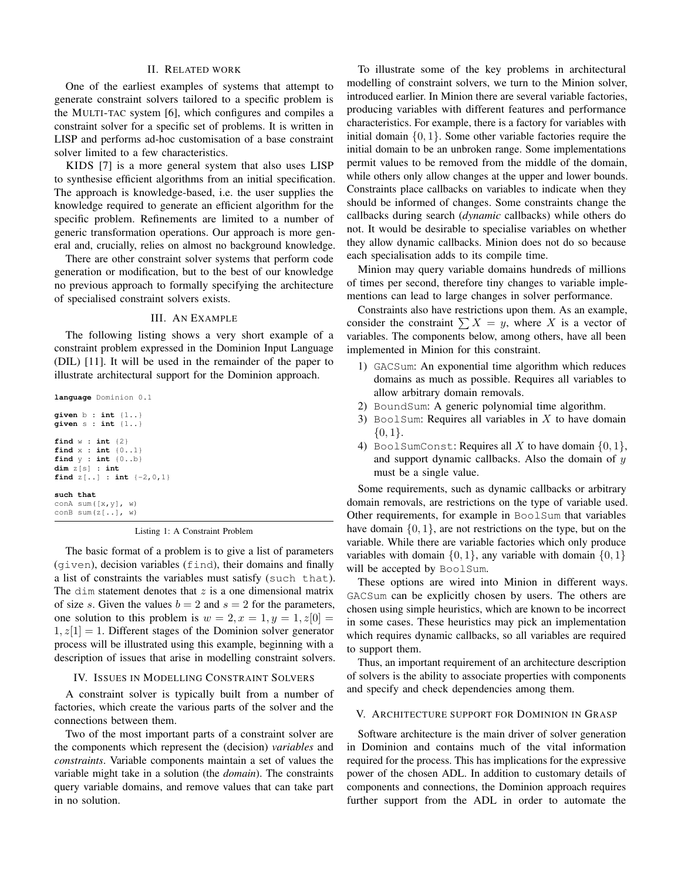## II. RELATED WORK

One of the earliest examples of systems that attempt to generate constraint solvers tailored to a specific problem is the MULTI-TAC system [6], which configures and compiles a constraint solver for a specific set of problems. It is written in LISP and performs ad-hoc customisation of a base constraint solver limited to a few characteristics.

KIDS [7] is a more general system that also uses LISP to synthesise efficient algorithms from an initial specification. The approach is knowledge-based, i.e. the user supplies the knowledge required to generate an efficient algorithm for the specific problem. Refinements are limited to a number of generic transformation operations. Our approach is more general and, crucially, relies on almost no background knowledge.

There are other constraint solver systems that perform code generation or modification, but to the best of our knowledge no previous approach to formally specifying the architecture of specialised constraint solvers exists.

# III. AN EXAMPLE

The following listing shows a very short example of a constraint problem expressed in the Dominion Input Language (DIL) [11]. It will be used in the remainder of the paper to illustrate architectural support for the Dominion approach.

```
language Dominion 0.1
given b : int {1..}
given s : int {1..}
find w : int {2}
find x : int {0..1}
find y : int {0..b}
dim z[s] : int
find z[..] : int {-2,0,1}
such that
conA sum([x,y], w)
conB sum(z[..], w)
```
Listing 1: A Constraint Problem

The basic format of a problem is to give a list of parameters (given), decision variables (find), their domains and finally a list of constraints the variables must satisfy (such that). The dim statement denotes that  $z$  is a one dimensional matrix of size s. Given the values  $b = 2$  and  $s = 2$  for the parameters, one solution to this problem is  $w = 2, x = 1, y = 1, z[0] =$  $1, z[1] = 1$ . Different stages of the Dominion solver generator process will be illustrated using this example, beginning with a description of issues that arise in modelling constraint solvers.

# IV. ISSUES IN MODELLING CONSTRAINT SOLVERS

A constraint solver is typically built from a number of factories, which create the various parts of the solver and the connections between them.

Two of the most important parts of a constraint solver are the components which represent the (decision) *variables* and *constraints*. Variable components maintain a set of values the variable might take in a solution (the *domain*). The constraints query variable domains, and remove values that can take part in no solution.

To illustrate some of the key problems in architectural modelling of constraint solvers, we turn to the Minion solver, introduced earlier. In Minion there are several variable factories, producing variables with different features and performance characteristics. For example, there is a factory for variables with initial domain  $\{0, 1\}$ . Some other variable factories require the initial domain to be an unbroken range. Some implementations permit values to be removed from the middle of the domain, while others only allow changes at the upper and lower bounds. Constraints place callbacks on variables to indicate when they should be informed of changes. Some constraints change the callbacks during search (*dynamic* callbacks) while others do not. It would be desirable to specialise variables on whether they allow dynamic callbacks. Minion does not do so because each specialisation adds to its compile time.

Minion may query variable domains hundreds of millions of times per second, therefore tiny changes to variable implementions can lead to large changes in solver performance.

Constraints also have restrictions upon them. As an example, consider the constraint  $\sum X = y$ , where X is a vector of variables. The components below, among others, have all been implemented in Minion for this constraint.

- 1) GACSum: An exponential time algorithm which reduces domains as much as possible. Requires all variables to allow arbitrary domain removals.
- 2) BoundSum: A generic polynomial time algorithm.
- 3) BoolSum: Requires all variables in  $X$  to have domain  ${0,1}.$
- 4) BoolSumConst: Requires all X to have domain  $\{0, 1\}$ , and support dynamic callbacks. Also the domain of  $y$ must be a single value.

Some requirements, such as dynamic callbacks or arbitrary domain removals, are restrictions on the type of variable used. Other requirements, for example in BoolSum that variables have domain  $\{0, 1\}$ , are not restrictions on the type, but on the variable. While there are variable factories which only produce variables with domain  $\{0, 1\}$ , any variable with domain  $\{0, 1\}$ will be accepted by BoolSum.

These options are wired into Minion in different ways. GACSum can be explicitly chosen by users. The others are chosen using simple heuristics, which are known to be incorrect in some cases. These heuristics may pick an implementation which requires dynamic callbacks, so all variables are required to support them.

Thus, an important requirement of an architecture description of solvers is the ability to associate properties with components and specify and check dependencies among them.

# V. ARCHITECTURE SUPPORT FOR DOMINION IN GRASP

Software architecture is the main driver of solver generation in Dominion and contains much of the vital information required for the process. This has implications for the expressive power of the chosen ADL. In addition to customary details of components and connections, the Dominion approach requires further support from the ADL in order to automate the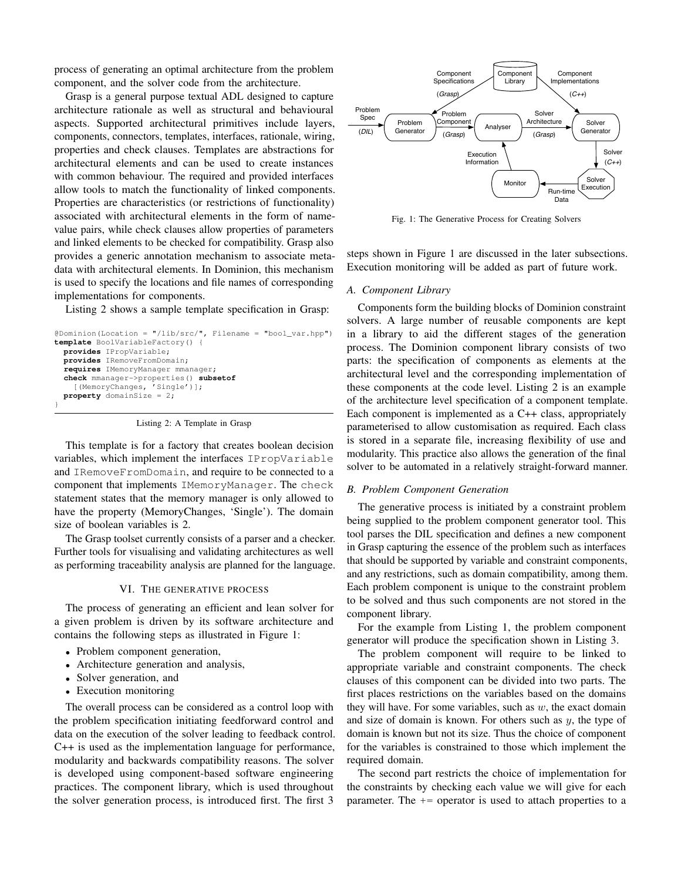process of generating an optimal architecture from the problem component, and the solver code from the architecture.

Grasp is a general purpose textual ADL designed to capture architecture rationale as well as structural and behavioural aspects. Supported architectural primitives include layers, components, connectors, templates, interfaces, rationale, wiring, properties and check clauses. Templates are abstractions for architectural elements and can be used to create instances with common behaviour. The required and provided interfaces allow tools to match the functionality of linked components. Properties are characteristics (or restrictions of functionality) associated with architectural elements in the form of namevalue pairs, while check clauses allow properties of parameters and linked elements to be checked for compatibility. Grasp also provides a generic annotation mechanism to associate metadata with architectural elements. In Dominion, this mechanism is used to specify the locations and file names of corresponding implementations for components.

Listing 2 shows a sample template specification in Grasp:

```
@Dominion(Location = "/lib/src/", Filename = "bool_var.hpp")
template BoolVariableFactory() {
 provides IPropVariable;
 provides IRemoveFromDomain;
  requires IMemoryManager mmanager;
  check mmanager->properties() subsetof
    [(MemoryChanges, 'Single')];
 property domainSize = 2;
}
```
Listing 2: A Template in Grasp

This template is for a factory that creates boolean decision variables, which implement the interfaces IPropVariable and IRemoveFromDomain, and require to be connected to a component that implements IMemoryManager. The check statement states that the memory manager is only allowed to have the property (MemoryChanges, 'Single'). The domain size of boolean variables is 2.

The Grasp toolset currently consists of a parser and a checker. Further tools for visualising and validating architectures as well as performing traceability analysis are planned for the language.

#### VI. THE GENERATIVE PROCESS

The process of generating an efficient and lean solver for a given problem is driven by its software architecture and contains the following steps as illustrated in Figure 1:

- Problem component generation,
- Architecture generation and analysis,
- Solver generation, and
- Execution monitoring

The overall process can be considered as a control loop with the problem specification initiating feedforward control and data on the execution of the solver leading to feedback control. C++ is used as the implementation language for performance, modularity and backwards compatibility reasons. The solver is developed using component-based software engineering practices. The component library, which is used throughout the solver generation process, is introduced first. The first 3



Fig. 1: The Generative Process for Creating Solvers

steps shown in Figure 1 are discussed in the later subsections. Execution monitoring will be added as part of future work.

#### *A. Component Library*

Components form the building blocks of Dominion constraint solvers. A large number of reusable components are kept in a library to aid the different stages of the generation process. The Dominion component library consists of two parts: the specification of components as elements at the architectural level and the corresponding implementation of these components at the code level. Listing 2 is an example of the architecture level specification of a component template. Each component is implemented as a C++ class, appropriately parameterised to allow customisation as required. Each class is stored in a separate file, increasing flexibility of use and modularity. This practice also allows the generation of the final solver to be automated in a relatively straight-forward manner.

# *B. Problem Component Generation*

The generative process is initiated by a constraint problem being supplied to the problem component generator tool. This tool parses the DIL specification and defines a new component in Grasp capturing the essence of the problem such as interfaces that should be supported by variable and constraint components, and any restrictions, such as domain compatibility, among them. Each problem component is unique to the constraint problem to be solved and thus such components are not stored in the component library.

For the example from Listing 1, the problem component generator will produce the specification shown in Listing 3.

The problem component will require to be linked to appropriate variable and constraint components. The check clauses of this component can be divided into two parts. The first places restrictions on the variables based on the domains they will have. For some variables, such as  $w$ , the exact domain and size of domain is known. For others such as  $y$ , the type of domain is known but not its size. Thus the choice of component for the variables is constrained to those which implement the required domain.

The second part restricts the choice of implementation for the constraints by checking each value we will give for each parameter. The  $+=$  operator is used to attach properties to a